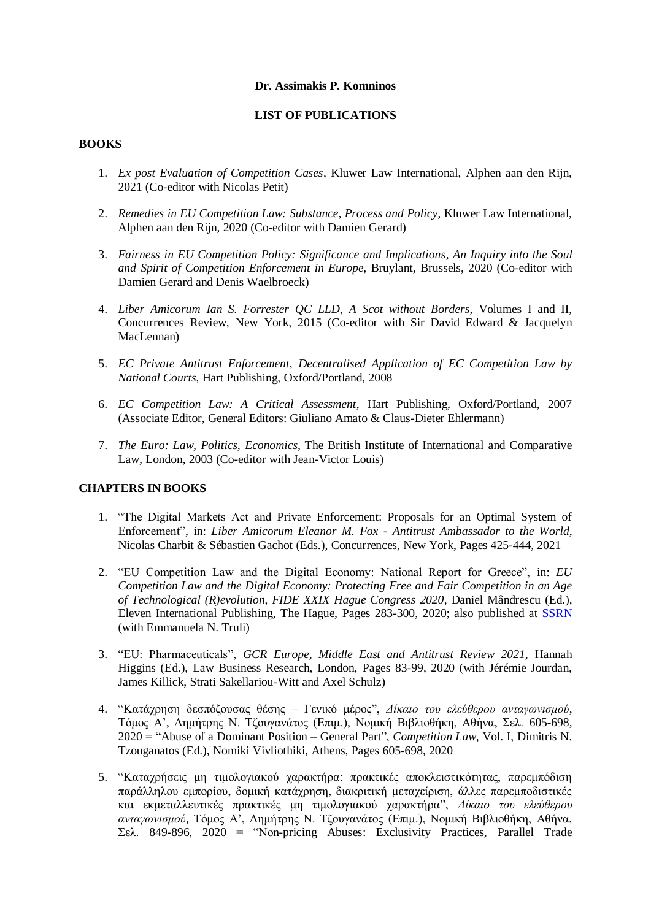#### **Dr. Assimakis P. Komninos**

## **LIST OF PUBLICATIONS**

## **BOOKS**

- 1. *Ex post Evaluation of Competition Cases*, Kluwer Law International, Alphen aan den Rijn, 2021 (Co-editor with Nicolas Petit)
- 2. *Remedies in EU Competition Law: Substance, Process and Policy*, Kluwer Law International, Alphen aan den Rijn, 2020 (Co-editor with Damien Gerard)
- 3. *Fairness in EU Competition Policy: Significance and Implications*, *An Inquiry into the Soul and Spirit of Competition Enforcement in Europe*, Bruylant, Brussels, 2020 (Co-editor with Damien Gerard and Denis Waelbroeck)
- 4. *Liber Amicorum Ian S. Forrester QC LLD*, *A Scot without Borders*, Volumes I and II, Concurrences Review, New York, 2015 (Co-editor with Sir David Edward & Jacquelyn MacLennan)
- 5. *EC Private Antitrust Enforcement*, *Decentralised Application of EC Competition Law by National Courts*, Hart Publishing, Oxford/Portland, 2008
- 6. *EC Competition Law: A Critical Assessment*, Hart Publishing, Oxford/Portland, 2007 (Associate Editor, General Editors: Giuliano Amato & Claus-Dieter Ehlermann)
- 7. *The Euro: Law, Politics, Economics*, The British Institute of International and Comparative Law, London, 2003 (Co-editor with Jean-Victor Louis)

## **CHAPTERS IN BOOKS**

- 1. "The Digital Markets Act and Private Enforcement: Proposals for an Optimal System of Enforcement", in: *Liber Amicorum Eleanor M. Fox - Antitrust Ambassador to the World*, Nicolas Charbit & Sébastien Gachot (Eds.), Concurrences, New York, Pages 425-444, 2021
- 2. "EU Competition Law and the Digital Economy: National Report for Greece", in: *EU Competition Law and the Digital Economy: Protecting Free and Fair Competition in an Age of Technological (R)evolution*, *FIDE XXIX Hague Congress 2020*, Daniel Mândrescu (Ed.), Eleven International Publishing, The Hague, Pages 283-300, 2020; also published at [SSRN](https://papers.ssrn.com/sol3/papers.cfm?abstract_id=3466199) (with Emmanuela N. Truli)
- 3. "EU: Pharmaceuticals", *GCR Europe, Middle East and Antitrust Review 2021*, Hannah Higgins (Ed.), Law Business Research, London, Pages 83-99, 2020 (with Jérémie Jourdan, James Killick, Strati Sakellariou-Witt and Axel Schulz)
- 4. "Κατάχρηση δεσπόζουσας θέσης Γενικό μέρος", *Δίκαιο του ελεύθερου ανταγωνισμού*, Τόμος Α', Δημήτρης Ν. Τζουγανάτος (Επιμ.), Νομική Βιβλιοθήκη, Αθήνα, Σελ. 605-698, 2020 = "Abuse of a Dominant Position – General Part", *Competition Law*, Vol. I, Dimitris N. Tzouganatos (Ed.), Nomiki Vivliothiki, Athens, Pages 605-698, 2020
- 5. "Καταχρήσεις μη τιμολογιακού χαρακτήρα: πρακτικές αποκλειστικότητας, παρεμπόδιση παράλληλου εμπορίου, δομική κατάχρηση, διακριτική μεταχείριση, άλλες παρεμποδιστικές και εκμεταλλευτικές πρακτικές μη τιμολογιακού χαρακτήρα", *Δίκαιο του ελεύθερου ανταγωνισμού*, Τόμος Α', Δημήτρης Ν. Τζουγανάτος (Επιμ.), Νομική Βιβλιοθήκη, Αθήνα, Σελ. 849-896, 2020 = "Non-pricing Abuses: Exclusivity Practices, Parallel Trade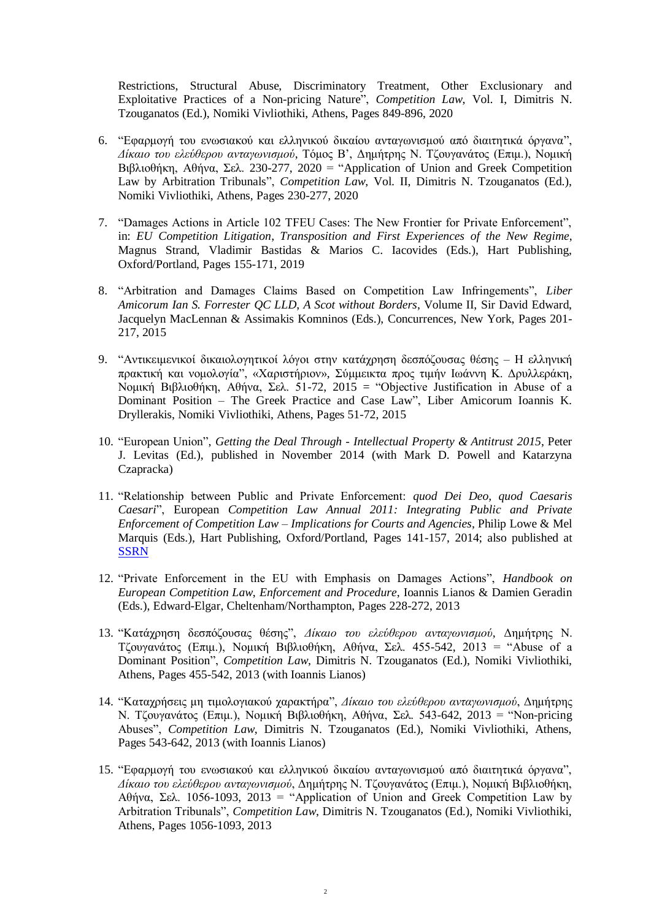Restrictions, Structural Abuse, Discriminatory Treatment, Other Exclusionary and Exploitative Practices of a Non-pricing Nature", *Competition Law*, Vol. I, Dimitris N. Tzouganatos (Ed.), Nomiki Vivliothiki, Athens, Pages 849-896, 2020

- 6. "Εφαρμογή του ενωσιακού και ελληνικού δικαίου ανταγωνισμού από διαιτητικά όργανα", *Δίκαιο του ελεύθερου ανταγωνισμού*, Τόμος Β', Δημήτρης Ν. Τζουγανάτος (Επιμ.), Νομική Βιβλιοθήκη, Αθήνα, Σελ. 230-277, 2020 = "Application of Union and Greek Competition Law by Arbitration Tribunals", *Competition Law*, Vol. II, Dimitris N. Tzouganatos (Ed.), Nomiki Vivliothiki, Athens, Pages 230-277, 2020
- 7. "Damages Actions in Article 102 TFEU Cases: The New Frontier for Private Enforcement", in: *EU Competition Litigation*, *Transposition and First Experiences of the New Regime*, Magnus Strand, Vladimir Bastidas & Marios C. Iacovides (Eds.), Hart Publishing, Oxford/Portland, Pages 155-171, 2019
- 8. "Arbitration and Damages Claims Based on Competition Law Infringements", *Liber Amicorum Ian S. Forrester QC LLD*, *A Scot without Borders*, Volume II, Sir David Edward, Jacquelyn MacLennan & Assimakis Komninos (Eds.), Concurrences, New York, Pages 201- 217, 2015
- 9. "Αντικειμενικοί δικαιολογητικοί λόγοι στην κατάχρηση δεσπόζουσας θέσης Η ελληνική πρακτική και νομολογία", «Χαριστήριον», Σύμμεικτα προς τιμήν Ιωάννη Κ. Δρυλλεράκη, Νομική Βιβλιοθήκη, Αθήνα, Σελ. 51-72, 2015 = "Objective Justification in Abuse of a Dominant Position – The Greek Practice and Case Law", Liber Amicorum Ioannis K. Dryllerakis, Nomiki Vivliothiki, Athens, Pages 51-72, 2015
- 10. "European Union", *Getting the Deal Through - Intellectual Property & Antitrust 2015*, Peter J. Levitas (Ed.), published in November 2014 (with Mark D. Powell and Katarzyna Czapracka)
- 11. "Relationship between Public and Private Enforcement: *quod Dei Deo, quod Caesaris Caesari*", European *Competition Law Annual 2011: Integrating Public and Private Enforcement of Competition Law – Implications for Courts and Agencies*, Philip Lowe & Mel Marquis (Eds.), Hart Publishing, Oxford/Portland, Pages 141-157, 2014; also published at **[SSRN](http://papers.ssrn.com/sol3/papers.cfm?abstract_id=1870723)**
- 12. "Private Enforcement in the EU with Emphasis on Damages Actions", *Handbook on European Competition Law*, *Enforcement and Procedure*, Ioannis Lianos & Damien Geradin (Eds.), Edward-Elgar, Cheltenham/Northampton, Pages 228-272, 2013
- 13. "Κατάχρηση δεσπόζουσας θέσης", *Δίκαιο του ελεύθερου ανταγωνισμού*, Δημήτρης Ν. Τζουγανάτος (Επιμ.), Νομική Βιβλιοθήκη, Αθήνα, Σελ. 455-542, 2013 = "Abuse of a Dominant Position", *Competition Law*, Dimitris N. Tzouganatos (Ed.), Nomiki Vivliothiki, Athens, Pages 455-542, 2013 (with Ioannis Lianos)
- 14. "Καταχρήσεις μη τιμολογιακού χαρακτήρα", *Δίκαιο του ελεύθερου ανταγωνισμού*, Δημήτρης Ν. Τζουγανάτος (Επιμ.), Νομική Βιβλιοθήκη, Αθήνα, Σελ. 543-642, 2013 = "Non-pricing Abuses", *Competition Law*, Dimitris N. Tzouganatos (Ed.), Nomiki Vivliothiki, Athens, Pages 543-642, 2013 (with Ioannis Lianos)
- 15. "Εφαρμογή του ενωσιακού και ελληνικού δικαίου ανταγωνισμού από διαιτητικά όργανα", *Δίκαιο του ελεύθερου ανταγωνισμού*, Δημήτρης Ν. Τζουγανάτος (Επιμ.), Νομική Βιβλιοθήκη, Αθήνα, Σελ. 1056-1093, 2013 = "Application of Union and Greek Competition Law by Arbitration Tribunals", *Competition Law*, Dimitris N. Tzouganatos (Ed.), Nomiki Vivliothiki, Athens, Pages 1056-1093, 2013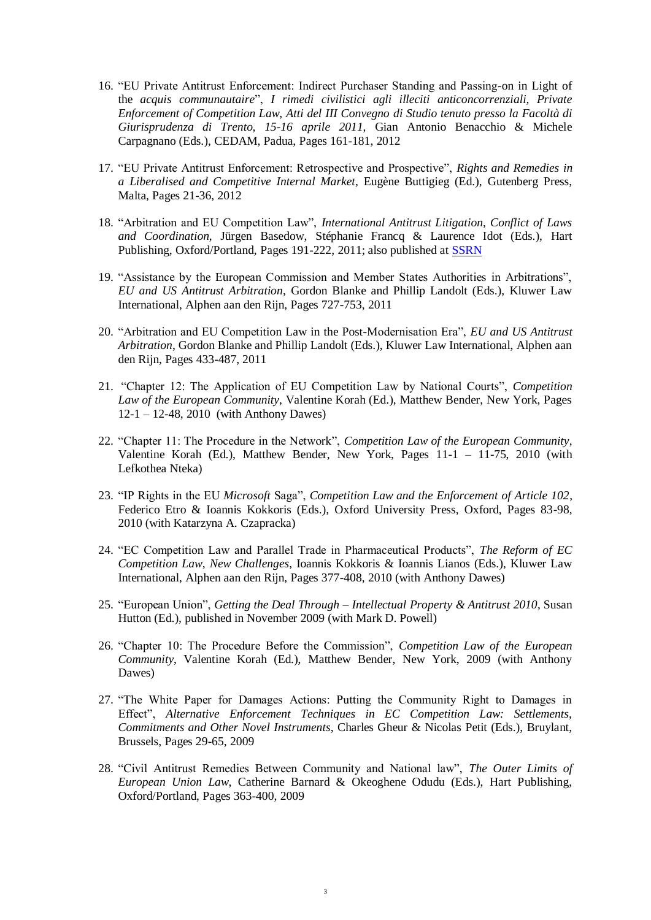- 16. "EU Private Antitrust Enforcement: Indirect Purchaser Standing and Passing-on in Light of the *acquis communautaire*", *I rimedi civilistici agli illeciti anticoncorrenziali, Private Enforcement of Competition Law, Atti del III Convegno di Studio tenuto presso la Facoltà di Giurisprudenza di Trento, 15-16 aprile 2011*, Gian Antonio Benacchio & Michele Carpagnano (Eds.), CEDAM, Padua, Pages 161-181, 2012
- 17. "EU Private Antitrust Enforcement: Retrospective and Prospective", *Rights and Remedies in a Liberalised and Competitive Internal Market*, Eugène Buttigieg (Ed.), Gutenberg Press, Malta, Pages 21-36, 2012
- 18. "Arbitration and EU Competition Law", *International Antitrust Litigation*, *Conflict of Laws and Coordination*, Jürgen Basedow, Stéphanie Francq & Laurence Idot (Eds.), Hart Publishing, Oxford/Portland, Pages 191-222, 2011; also published at [SSRN](http://papers.ssrn.com/sol3/papers.cfm?abstract_id=1520105)
- 19. "Assistance by the European Commission and Member States Authorities in Arbitrations", *EU and US Antitrust Arbitration*, Gordon Blanke and Phillip Landolt (Eds.), Kluwer Law International, Alphen aan den Rijn, Pages 727-753, 2011
- 20. "Arbitration and EU Competition Law in the Post-Modernisation Era", *EU and US Antitrust Arbitration*, Gordon Blanke and Phillip Landolt (Eds.), Kluwer Law International, Alphen aan den Rijn, Pages 433-487, 2011
- 21. "Chapter 12: The Application of EU Competition Law by National Courts", *Competition Law of the European Community*, Valentine Korah (Ed.), Matthew Bender, New York, Pages 12-1 – 12-48, 2010 (with Anthony Dawes)
- 22. "Chapter 11: The Procedure in the Network", *Competition Law of the European Community*, Valentine Korah (Ed.), Matthew Bender, New York, Pages 11-1 – 11-75, 2010 (with Lefkothea Nteka)
- 23. "IP Rights in the EU *Microsoft* Saga", *Competition Law and the Enforcement of Article 102*, Federico Etro & Ioannis Kokkoris (Eds.), Oxford University Press, Oxford, Pages 83-98, 2010 (with Katarzyna A. Czapracka)
- 24. "EC Competition Law and Parallel Trade in Pharmaceutical Products", *The Reform of EC Competition Law*, *New Challenges*, Ioannis Kokkoris & Ioannis Lianos (Eds.), Kluwer Law International, Alphen aan den Rijn, Pages 377-408, 2010 (with Anthony Dawes)
- 25. "European Union", *Getting the Deal Through – Intellectual Property & Antitrust 2010*, Susan Hutton (Ed.), published in November 2009 (with Mark D. Powell)
- 26. "Chapter 10: The Procedure Before the Commission", *Competition Law of the European Community*, Valentine Korah (Ed.), Matthew Bender, New York, 2009 (with Anthony Dawes)
- 27. "The White Paper for Damages Actions: Putting the Community Right to Damages in Effect", *Alternative Enforcement Techniques in EC Competition Law: Settlements, Commitments and Other Novel Instruments*, Charles Gheur & Nicolas Petit (Eds.), Bruylant, Brussels, Pages 29-65, 2009
- 28. "Civil Antitrust Remedies Between Community and National law", *The Outer Limits of European Union Law*, Catherine Barnard & Okeoghene Odudu (Eds.), Hart Publishing, Oxford/Portland, Pages 363-400, 2009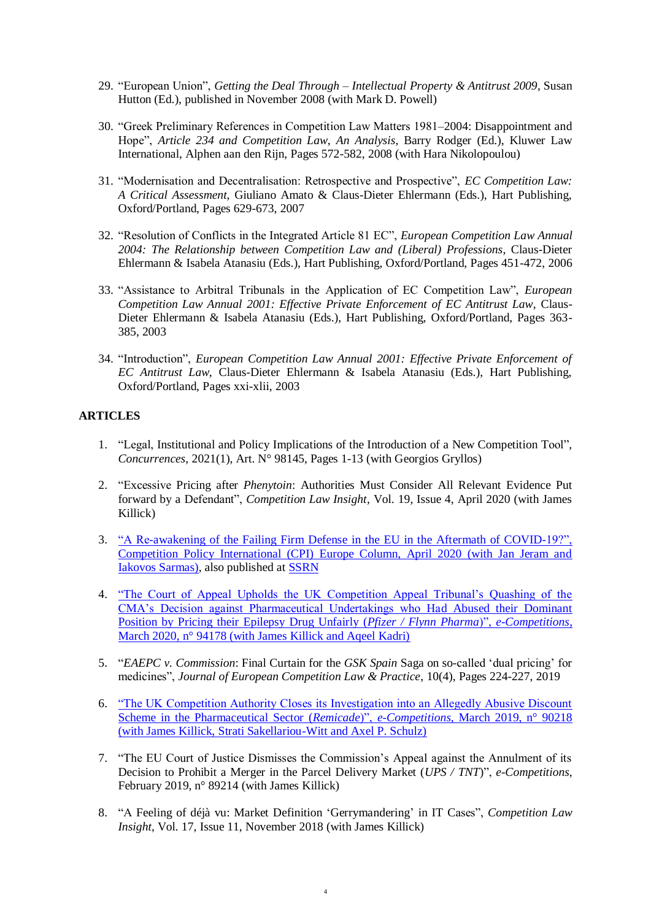- 29. "European Union", *Getting the Deal Through – Intellectual Property & Antitrust 2009*, Susan Hutton (Ed.), published in November 2008 (with Mark D. Powell)
- 30. "Greek Preliminary References in Competition Law Matters 1981–2004: Disappointment and Hope", *Article 234 and Competition Law*, *An Analysis*, Barry Rodger (Ed.), Kluwer Law International, Alphen aan den Rijn, Pages 572-582, 2008 (with Hara Nikolopoulou)
- 31. "Modernisation and Decentralisation: Retrospective and Prospective", *EC Competition Law: A Critical Assessment*, Giuliano Amato & Claus-Dieter Ehlermann (Eds.), Hart Publishing, Oxford/Portland, Pages 629-673, 2007
- 32. "Resolution of Conflicts in the Integrated Article 81 EC", *European Competition Law Annual 2004: The Relationship between Competition Law and (Liberal) Professions*, Claus-Dieter Ehlermann & Isabela Atanasiu (Eds.), Hart Publishing, Oxford/Portland, Pages 451-472, 2006
- 33. "Assistance to Arbitral Tribunals in the Application of EC Competition Law", *European Competition Law Annual 2001: Effective Private Enforcement of EC Antitrust Law*, Claus-Dieter Ehlermann & Isabela Atanasiu (Eds.), Hart Publishing, Oxford/Portland, Pages 363- 385, 2003
- 34. "Introduction", *European Competition Law Annual 2001: Effective Private Enforcement of EC Antitrust Law*, Claus-Dieter Ehlermann & Isabela Atanasiu (Eds.), Hart Publishing, Oxford/Portland, Pages xxi-xlii, 2003

# **ARTICLES**

- 1. "Legal, Institutional and Policy Implications of the Introduction of a New Competition Tool", *Concurrences*, 2021(1), Art. N° 98145, Pages 1-13 (with Georgios Gryllos)
- 2. "Excessive Pricing after *Phenytoin*: Authorities Must Consider All Relevant Evidence Put forward by a Defendant", *Competition Law Insight*, Vol. 19, Issue 4, April 2020 (with James Killick)
- 3. ["A Re-awakening of the Failing Firm Defense in the EU in the Aftermath of COVID-19?",](https://www.competitionpolicyinternational.com/a-re-awakening-of-the-failing-firm-defense-in-the-eu-in-the-aftermath-of-covid-19/)  [Competition Policy International \(CPI\) Europe Column, April 2020 \(with Jan Jeram and](https://www.competitionpolicyinternational.com/a-re-awakening-of-the-failing-firm-defense-in-the-eu-in-the-aftermath-of-covid-19/)  [Iakovos Sarmas\),](https://www.competitionpolicyinternational.com/a-re-awakening-of-the-failing-firm-defense-in-the-eu-in-the-aftermath-of-covid-19/) also published at [SSRN](https://papers.ssrn.com/sol3/papers.cfm?abstract_id=3596794)
- 4. ["The Court of Appeal Upholds the UK Competition Appeal Tribunal's Quashing of the](https://www.concurrences.com/en/bulletin/news-issues/march-2020/the-uk-competition-appeal-tribunal-quashes-the-cma-s-decision-against)  [CMA's Decision against Pharmaceutical Undertakings who Had Abused their Dominant](https://www.concurrences.com/en/bulletin/news-issues/march-2020/the-uk-competition-appeal-tribunal-quashes-the-cma-s-decision-against)  [Position by Pricing their Epilepsy Drug Unfairly \(](https://www.concurrences.com/en/bulletin/news-issues/march-2020/the-uk-competition-appeal-tribunal-quashes-the-cma-s-decision-against)*Pfizer / Flynn Pharma*)", *e-Competitions*, [March 2020, n° 94178 \(with James Killick and Aqeel Kadri\)](https://www.concurrences.com/en/bulletin/news-issues/march-2020/the-uk-competition-appeal-tribunal-quashes-the-cma-s-decision-against)
- 5. "*EAEPC v. Commission*: Final Curtain for the *GSK Spain* Saga on so-called 'dual pricing' for medicines", *Journal of European Competition Law & Practice*, 10(4), Pages 224-227, 2019
- 6. ["The UK Competition Authority Closes its Investigation into an Allegedly Abusive Discount](https://www.concurrences.com/en/bulletin/news-issues/march-2019/the-uk-national-competition-authority-closes-its-investigation-into-an)  [Scheme in the Pharmaceutical Sector \(](https://www.concurrences.com/en/bulletin/news-issues/march-2019/the-uk-national-competition-authority-closes-its-investigation-into-an)*Remicade*)", *e-Competitions*, March 2019, n° 90218 [\(with James Killick, Strati Sakellariou-Witt and Axel P. Schulz\)](https://www.concurrences.com/en/bulletin/news-issues/march-2019/the-uk-national-competition-authority-closes-its-investigation-into-an)
- 7. "The EU Court of Justice Dismisses the Commission's Appeal against the Annulment of its Decision to Prohibit a Merger in the Parcel Delivery Market (*UPS / TNT*)", *e-Competitions*, February 2019, n° 89214 (with James Killick)
- 8. "A Feeling of déjà vu: Market Definition 'Gerrymandering' in IT Cases", *Competition Law Insight*, Vol. 17, Issue 11, November 2018 (with James Killick)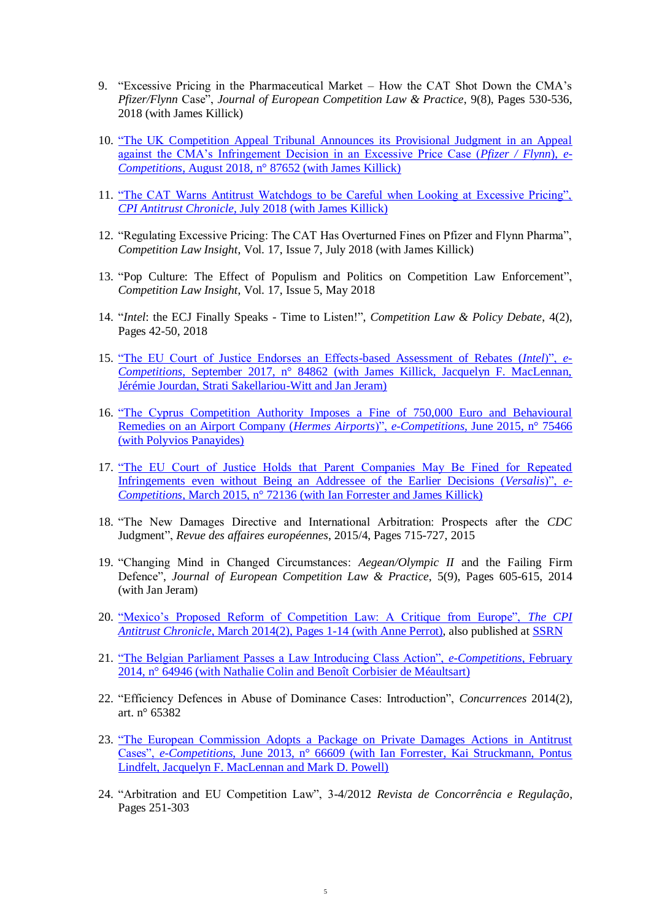- 9. "Excessive Pricing in the Pharmaceutical Market How the CAT Shot Down the CMA's *Pfizer/Flynn* Case", *Journal of European Competition Law & Practice*, 9(8), Pages 530-536, 2018 (with James Killick)
- 10. ["The UK Competition Appeal Tribunal Announces its Provisional Judgment in an Appeal](https://www.concurrences.com/en/bulletin/news-issues/july-2018-en/the-uk-competition-appeal-tribunal-announces-its-provisional-judgment-in-an)  [against the CMA's Infringement Decision in an Excessive Price Case \(](https://www.concurrences.com/en/bulletin/news-issues/july-2018-en/the-uk-competition-appeal-tribunal-announces-its-provisional-judgment-in-an)*Pfizer / Flynn*), *e-Competitions*[, August 2018, n° 87652 \(with James Killick\)](https://www.concurrences.com/en/bulletin/news-issues/july-2018-en/the-uk-competition-appeal-tribunal-announces-its-provisional-judgment-in-an)
- 11. ["The CAT Warns Antitrust Watchdogs to be Careful when Looking at Excessive Pricing",](https://www.competitionpolicyinternational.com/the-cat-warns-antitrust-watchdogs-to-be-careful-when-looking-at-excessive-pricing/)  *CPI Antitrust Chronicle*, July [2018 \(with James Killick\)](https://www.competitionpolicyinternational.com/the-cat-warns-antitrust-watchdogs-to-be-careful-when-looking-at-excessive-pricing/)
- 12. "Regulating Excessive Pricing: The CAT Has Overturned Fines on Pfizer and Flynn Pharma", *Competition Law Insight*, Vol. 17, Issue 7, July 2018 (with James Killick)
- 13. "Pop Culture: The Effect of Populism and Politics on Competition Law Enforcement", *Competition Law Insight*, Vol. 17, Issue 5, May 2018
- 14. "*Intel*: the ECJ Finally Speaks Time to Listen!", *Competition Law & Policy Debate*, 4(2), Pages 42-50, 2018
- 15. ["The EU Court of Justice Endorses an Effects-based Assessment of Rebates \(](https://www.concurrences.com/en/bulletin/news-issues/september-2017/the-eu-court-of-justice-endorses-an-effects-based-assessment-of-rebates-intel)*Intel*)", *e-Competitions*[, September 2017, n° 84862 \(with James Killick, Jacquelyn F. MacLennan,](https://www.concurrences.com/en/bulletin/news-issues/september-2017/the-eu-court-of-justice-endorses-an-effects-based-assessment-of-rebates-intel)  [Jérémie Jourdan, Strati Sakellariou-Witt and Jan Jeram\)](https://www.concurrences.com/en/bulletin/news-issues/september-2017/the-eu-court-of-justice-endorses-an-effects-based-assessment-of-rebates-intel)
- 16. ["The Cyprus Competition Authority Imposes a Fine of 750,000 Euro and Behavioural](https://www.concurrences.com/en/bulletin/news-issues/june-2015/The-Cyprus-Commission-for-the-75466)  [Remedies on an Airport Company \(](https://www.concurrences.com/en/bulletin/news-issues/june-2015/The-Cyprus-Commission-for-the-75466)*Hermes Airports*)", *e-Competitions*, June 2015, n° 75466 [\(with Polyvios Panayides\)](https://www.concurrences.com/en/bulletin/news-issues/june-2015/The-Cyprus-Commission-for-the-75466)
- 17. "The EU Court of Justice Holds that Parent Companies May Be Fined for Repeated [Infringements even without Being an Addressee of the Earlier Decisions \(](https://www.concurrences.com/en/bulletin/news-issues/march-2015/The-european-Court-of-Justice-72136)*Versalis*)", *e-Competitions*[, March 2015, n° 72136 \(with Ian Forrester and James Killick\)](https://www.concurrences.com/en/bulletin/news-issues/march-2015/The-european-Court-of-Justice-72136)
- 18. "The New Damages Directive and International Arbitration: Prospects after the *CDC* Judgment", *Revue des affaires européennes*, 2015/4, Pages 715-727, 2015
- 19. "Changing Mind in Changed Circumstances: *Aegean/Olympic II* and the Failing Firm Defence", *Journal of European Competition Law & Practice*, 5(9), Pages 605-615, 2014 (with Jan Jeram)
- 20. ["Mexico's Proposed Reform of Competition Law: A Critique from Europe",](https://www.competitionpolicyinternational.com/mexico-s-proposed-reform-of-competition-law-a-critique-from-europe-2/) *The CPI Antitrust Chronicle*[, March 2014\(2\), Pages 1-14 \(with Anne Perrot\),](https://www.competitionpolicyinternational.com/mexico-s-proposed-reform-of-competition-law-a-critique-from-europe-2/) also published at [SSRN](http://papers.ssrn.com/sol3/papers.cfm?abstract_id=2404022)
- 21. ["The Belgian Parliament Passes a Law Introducing Class Action",](https://www.concurrences.com/en/bulletin/news-issues/february-2014-en/The-Belgian-Parliament-passes-a) *e-Competitions*, February [2014, n° 64946 \(with Nathalie Colin and Benoît Corbisier de Méaultsart\)](https://www.concurrences.com/en/bulletin/news-issues/february-2014-en/The-Belgian-Parliament-passes-a)
- 22. "Efficiency Defences in Abuse of Dominance Cases: Introduction", *Concurrences* 2014(2), art. n° 65382
- 23. ["The European Commission Adopts a Package on Private Damages Actions in Antitrust](https://www.concurrences.com/en/bulletin/news-issues/june-2013/The-European-Commission-adopts-a-66609)  Cases", *e-Competitions*[, June 2013, n° 66609 \(with Ian Forrester, Kai Struckmann, Pontus](https://www.concurrences.com/en/bulletin/news-issues/june-2013/The-European-Commission-adopts-a-66609)  [Lindfelt, Jacquelyn F. MacLennan and Mark D. Powell\)](https://www.concurrences.com/en/bulletin/news-issues/june-2013/The-European-Commission-adopts-a-66609)
- 24. "Arbitration and EU Competition Law", 3-4/2012 *Revista de Concorrência e Regulação*, Pages 251-303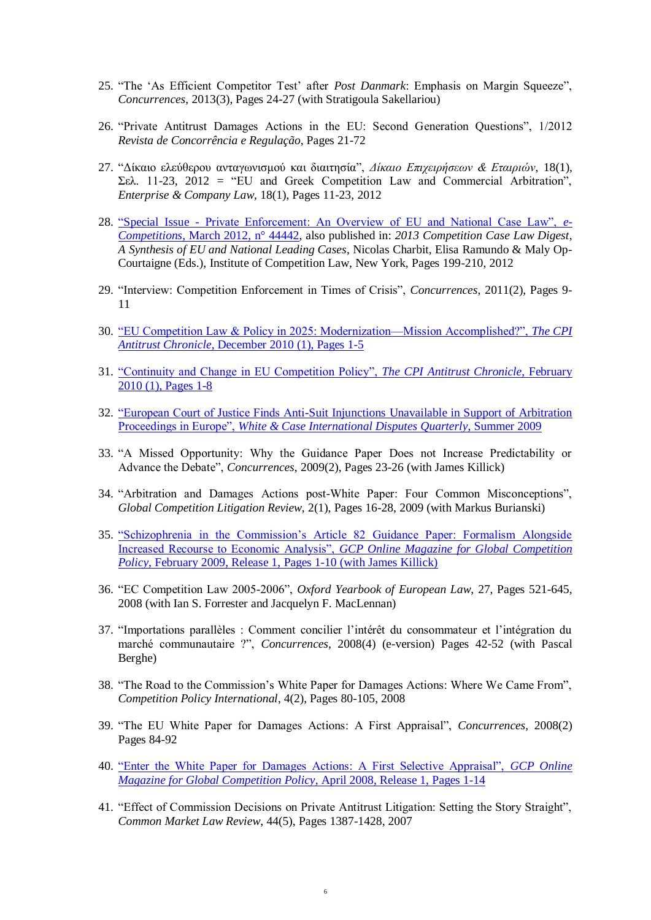- 25. "The 'As Efficient Competitor Test' after *Post Danmark*: Emphasis on Margin Squeeze", *Concurrences*, 2013(3), Pages 24-27 (with Stratigoula Sakellariou)
- 26. "Private Antitrust Damages Actions in the EU: Second Generation Questions", 1/2012 *Revista de Concorrência e Regulação*, Pages 21-72
- 27. "Δίκαιο ελεύθερου ανταγωνισμού και διαιτησία", *Δίκαιο Επιχειρήσεων & Εταιριών*, 18(1), Σελ. 11-23, 2012 = "EU and Greek Competition Law and Commercial Arbitration", *Enterprise & Company Law*, 18(1), Pages 11-23, 2012
- 28. "Special Issue [Private Enforcement: An Overview of EU and National Case Law",](http://www.concurrences.com/abstract_bulletin_web.php3?id_article=44442&ordre_suivant=date_redac) *e-Competitions*[, March 2012, n° 44442,](http://www.concurrences.com/abstract_bulletin_web.php3?id_article=44442&ordre_suivant=date_redac) also published in: *2013 Competition Case Law Digest*, *A Synthesis of EU and National Leading Cases*, Nicolas Charbit, Elisa Ramundo & Maly Op-Courtaigne (Eds.), Institute of Competition Law, New York, Pages 199-210, 2012
- 29. "Interview: Competition Enforcement in Times of Crisis", *Concurrences*, 2011(2), Pages 9- 11
- 30. ["EU Competition Law & Policy in 2025: Modernization—Mission Accomplished?",](https://www.competitionpolicyinternational.com/eu-competition-law-and-policy-in-2025-modernization-mission-accomplished/) *The CPI Antitrust Chronicle*[, December 2010 \(1\), Pages 1-5](https://www.competitionpolicyinternational.com/eu-competition-law-and-policy-in-2025-modernization-mission-accomplished/)
- 31. ["Continuity and Change in EU Competition Policy",](https://www.competitionpolicyinternational.com/continuity-and-change-in-eu-competition-policy/) *The CPI Antitrust Chronicle*, February [2010 \(1\), Pages 1-8](https://www.competitionpolicyinternational.com/continuity-and-change-in-eu-competition-policy/)
- 32. ["European Court of Justice Finds Anti-Suit Injunctions Unavailable in Support of Arbitration](http://www.whitecase.com/files/Uploads/Documents/IDQ_Summer_2009_v37.pdf)  Proceedings in Europe", *[White & Case International Disputes Quarterly](http://www.whitecase.com/files/Uploads/Documents/IDQ_Summer_2009_v37.pdf)*, Summer 2009
- 33. "A Missed Opportunity: Why the Guidance Paper Does not Increase Predictability or Advance the Debate", *Concurrences*, 2009(2), Pages 23-26 (with James Killick)
- 34. "Arbitration and Damages Actions post-White Paper: Four Common Misconceptions", *Global Competition Litigation Review*, 2(1), Pages 16-28, 2009 (with Markus Burianski)
- 35. ["Schizophrenia in the Commission's Article 82 Guidance Paper: Formalism Alongside](https://www.competitionpolicyinternational.com/schizophrenia-in-the-commissions-article-82-guidance-paper-formalism-alongside-increased-recourse-to-economic-analysis/)  Increased Recourse to Economic Analysis", *[GCP Online Magazine for Global Competition](https://www.competitionpolicyinternational.com/schizophrenia-in-the-commissions-article-82-guidance-paper-formalism-alongside-increased-recourse-to-economic-analysis/)  Policy*[, February 2009, Release 1, Pages 1-10 \(with James Killick\)](https://www.competitionpolicyinternational.com/schizophrenia-in-the-commissions-article-82-guidance-paper-formalism-alongside-increased-recourse-to-economic-analysis/)
- 36. "EC Competition Law 2005-2006", *Oxford Yearbook of European Law*, 27, Pages 521-645, 2008 (with Ian S. Forrester and Jacquelyn F. MacLennan)
- 37. "Importations parallèles : Comment concilier l'intérêt du consommateur et l'intégration du marché communautaire ?", *Concurrences*, 2008(4) (e-version) Pages 42-52 (with Pascal Berghe)
- 38. "The Road to the Commission's White Paper for Damages Actions: Where We Came From", *Competition Policy International*, 4(2), Pages 80-105, 2008
- 39. "The EU White Paper for Damages Actions: A First Appraisal", *Concurrences*, 2008(2) Pages 84-92
- 40. ["Enter the White Paper for Damages Actions: A First Selective Appraisal",](https://www.competitionpolicyinternational.com/enter-the-white-paper-for-damages-actions-a-first-selective-appraisal/) *GCP Online [Magazine for Global Competition Policy](https://www.competitionpolicyinternational.com/enter-the-white-paper-for-damages-actions-a-first-selective-appraisal/)*, April 2008, Release 1, Pages 1-14
- 41. "Effect of Commission Decisions on Private Antitrust Litigation: Setting the Story Straight", *Common Market Law Review*, 44(5), Pages 1387-1428, 2007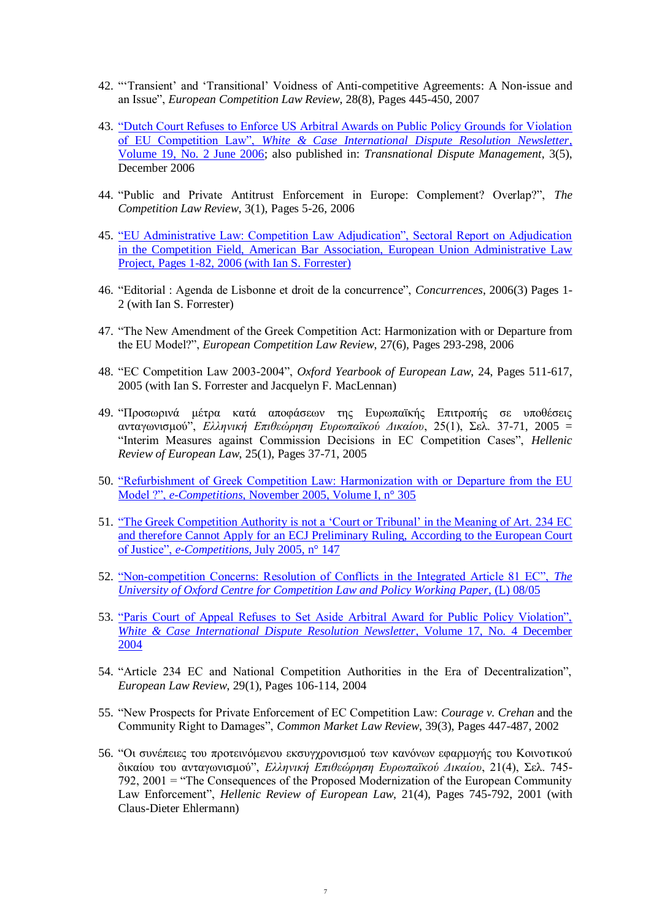- 42. "'Transient' and 'Transitional' Voidness of Anti-competitive Agreements: A Non-issue and an Issue", *European Competition Law Review*, 28(8), Pages 445-450, 2007
- 43. ["Dutch Court Refuses to Enforce US Arbitral Awards on Public Policy Grounds for Violation](http://www.whitecase.com/files/Publication/066e6fad-58c3-4022-ae26-0192d97fb953/Presentation/PublicationAttachment/480e954b-1f96-454b-a357-020f934b03f0/International_Dispute_Resolution_Newsletter_June_06.pdf)  of EU Competition Law", *[White & Case International Dispute Resolution Newsletter](http://www.whitecase.com/files/Publication/066e6fad-58c3-4022-ae26-0192d97fb953/Presentation/PublicationAttachment/480e954b-1f96-454b-a357-020f934b03f0/International_Dispute_Resolution_Newsletter_June_06.pdf)*, [Volume 19, No. 2 June 2006;](http://www.whitecase.com/files/Publication/066e6fad-58c3-4022-ae26-0192d97fb953/Presentation/PublicationAttachment/480e954b-1f96-454b-a357-020f934b03f0/International_Dispute_Resolution_Newsletter_June_06.pdf) also published in: *Transnational Dispute Management*, 3(5), December 2006
- 44. "Public and Private Antitrust Enforcement in Europe: Complement? Overlap?", *The Competition Law Review*, 3(1), Pages 5-26, 2006
- 45. ["EU Administrative Law: Competition Law Adjudication", Sectoral Report on Adjudication](http://www.americanbar.org/content/dam/aba/migrated/SectRptAdj_Competition_Komninos_spring2006_2.authcheckdam.pdf)  [in the Competition Field, American Bar Association, European Union Administrative Law](http://www.americanbar.org/content/dam/aba/migrated/SectRptAdj_Competition_Komninos_spring2006_2.authcheckdam.pdf)  [Project, Pages 1-82, 2006 \(with Ian S. Forrester\)](http://www.americanbar.org/content/dam/aba/migrated/SectRptAdj_Competition_Komninos_spring2006_2.authcheckdam.pdf)
- 46. "Editorial : Agenda de Lisbonne et droit de la concurrence", *Concurrences*, 2006(3) Pages 1- 2 (with Ian S. Forrester)
- 47. "The New Amendment of the Greek Competition Act: Harmonization with or Departure from the EU Model?", *European Competition Law Review*, 27(6), Pages 293-298, 2006
- 48. "EC Competition Law 2003-2004", *Oxford Yearbook of European Law*, 24, Pages 511-617, 2005 (with Ian S. Forrester and Jacquelyn F. MacLennan)
- 49. "Προσωρινά μέτρα κατά αποφάσεων της Ευρωπαϊκής Επιτροπής σε υποθέσεις ανταγωνισμού", *Ελληνική Επιθεώρηση Ευρωπαϊκού Δικαίου*, 25(1), Σελ. 37-71, 2005 = "Interim Measures against Commission Decisions in EC Competition Cases", *Hellenic Review of European Law*, 25(1), Pages 37-71, 2005
- 50. ["Refurbishment of Greek Competition Law: Harmonization with or Departure from the EU](http://www.concurrences.com/abstract_bulletin_web.php3?id_article=305)  Model ?", *e-Competitions*[, November 2005, Volume I, n° 305](http://www.concurrences.com/abstract_bulletin_web.php3?id_article=305)
- 51. ["The Greek Competition Authority is not a 'Court or Tribunal' in the Meaning of Art. 234 EC](http://www.concurrences.com/abstract_bulletin_web.php3?id_article=147)  [and therefore Cannot Apply for an ECJ Preliminary Ruling, According to the European Court](http://www.concurrences.com/abstract_bulletin_web.php3?id_article=147)  of Justice", *e-Competitions*[, July 2005, n° 147](http://www.concurrences.com/abstract_bulletin_web.php3?id_article=147)
- 52. ["Non-competition Concerns: Resolution of Conflicts in the Integrated Article 81 EC",](https://www.law.ox.ac.uk/sites/files/oxlaw/cclp_l_08-05.pdf) *The University of Oxford Centre for [Competition Law and Policy Working Paper](https://www.law.ox.ac.uk/sites/files/oxlaw/cclp_l_08-05.pdf)*, (L) 08/05
- 53. ["Paris Court of Appeal Refuses to Set Aside Arbitral Award for Public Policy Violation",](http://www.whitecase.com/files/Publication/f2c4e7cf-5800-4b64-b006-989b0a3c82eb/Presentation/PublicationAttachment/f5876229-d5ac-45d9-b477-9a57b19e009e/newsletter_dispute_resolution_12_2004.pdf)  *[White & Case International Dispute Resolution Newsletter](http://www.whitecase.com/files/Publication/f2c4e7cf-5800-4b64-b006-989b0a3c82eb/Presentation/PublicationAttachment/f5876229-d5ac-45d9-b477-9a57b19e009e/newsletter_dispute_resolution_12_2004.pdf)*, Volume 17, No. 4 December [2004](http://www.whitecase.com/files/Publication/f2c4e7cf-5800-4b64-b006-989b0a3c82eb/Presentation/PublicationAttachment/f5876229-d5ac-45d9-b477-9a57b19e009e/newsletter_dispute_resolution_12_2004.pdf)
- 54. "Article 234 EC and National Competition Authorities in the Era of Decentralization", *European Law Review*, 29(1), Pages 106-114, 2004
- 55. "New Prospects for Private Enforcement of EC Competition Law: *Courage v. Crehan* and the Community Right to Damages", *Common Market Law Review*, 39(3), Pages 447-487, 2002
- 56. "Οι συνέπειες του προτεινόμενου εκσυγχρονισμού των κανόνων εφαρμογής του Κοινοτικού δικαίου του ανταγωνισμού", *Ελληνική Επιθεώρηση Ευρωπαϊκού Δικαίου*, 21(4), Σελ. 745- 792, 2001 = "The Consequences of the Proposed Modernization of the European Community Law Enforcement", *Hellenic Review of European Law*, 21(4), Pages 745-792, 2001 (with Claus-Dieter Ehlermann)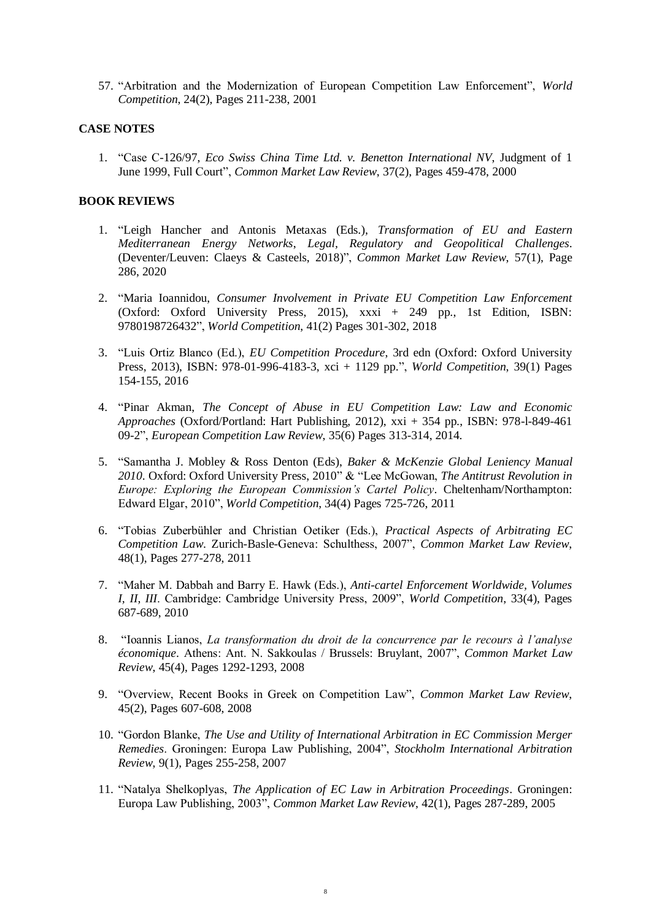57. "Arbitration and the Modernization of European Competition Law Enforcement", *World Competition*, 24(2), Pages 211-238, 2001

#### **CASE NOTES**

1. "Case C-126/97, *Eco Swiss China Time Ltd. v. Benetton International NV*, Judgment of 1 June 1999, Full Court", *Common Market Law Review*, 37(2), Pages 459-478, 2000

#### **BOOK REVIEWS**

- 1. "Leigh Hancher and Antonis Metaxas (Eds.), *Transformation of EU and Eastern Mediterranean Energy Networks*, *Legal, Regulatory and Geopolitical Challenges*. (Deventer/Leuven: Claeys & Casteels, 2018)", *Common Market Law Review*, 57(1), Page 286, 2020
- 2. "Maria Ioannidou, *Consumer Involvement in Private EU Competition Law Enforcement* (Oxford: Oxford University Press, 2015), xxxi + 249 pp., 1st Edition, ISBN: 9780198726432", *World Competition*, 41(2) Pages 301-302, 2018
- 3. "Luis Ortiz Blanco (Ed.), *EU Competition Procedure*, 3rd edn (Oxford: Oxford University Press, 2013), ISBN: 978-01-996-4183-3, xci + 1129 pp.", *World Competition*, 39(1) Pages 154-155, 2016
- 4. "Pinar Akman, *The Concept of Abuse in EU Competition Law: Law and Economic Approaches* (Oxford/Portland: Hart Publishing, 2012), xxi + 354 pp., ISBN: 978-l-849-461 09-2", *European Competition Law Review*, 35(6) Pages 313-314, 2014.
- 5. "Samantha J. Mobley & Ross Denton (Eds), *Baker & McKenzie Global Leniency Manual 2010*. Oxford: Oxford University Press, 2010" & "Lee McGowan, *The Antitrust Revolution in Europe: Exploring the European Commission's Cartel Policy*. Cheltenham/Northampton: Edward Elgar, 2010", *World Competition*, 34(4) Pages 725-726, 2011
- 6. "Tobias Zuberbühler and Christian Oetiker (Eds.), *Practical Aspects of Arbitrating EC Competition Law*. Zurich-Basle-Geneva: Schulthess, 2007", *Common Market Law Review*, 48(1), Pages 277-278, 2011
- 7. "Maher M. Dabbah and Barry E. Hawk (Eds.), *Anti-cartel Enforcement Worldwide, Volumes I, II, III*. Cambridge: Cambridge University Press, 2009", *World Competition*, 33(4), Pages 687-689, 2010
- 8. "Ioannis Lianos, *La transformation du droit de la concurrence par le recours à l'analyse économique*. Athens: Ant. N. Sakkoulas / Brussels: Bruylant, 2007", *Common Market Law Review*, 45(4), Pages 1292-1293, 2008
- 9. "Overview, Recent Books in Greek on Competition Law", *Common Market Law Review*, 45(2), Pages 607-608, 2008
- 10. "Gordon Blanke, *The Use and Utility of International Arbitration in EC Commission Merger Remedies*. Groningen: Europa Law Publishing, 2004", *Stockholm International Arbitration Review*, 9(1), Pages 255-258, 2007
- 11. "Natalya Shelkoplyas, *The Application of EC Law in Arbitration Proceedings*. Groningen: Europa Law Publishing, 2003", *Common Market Law Review*, 42(1), Pages 287-289, 2005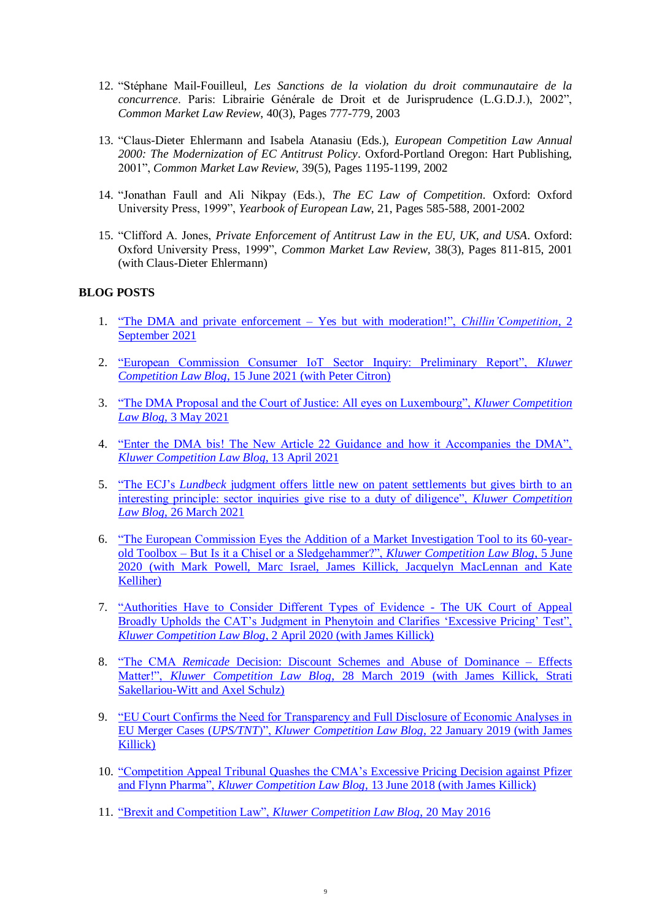- 12. "Stéphane Mail-Fouilleul, *Les Sanctions de la violation du droit communautaire de la concurrence*. Paris: Librairie Générale de Droit et de Jurisprudence (L.G.D.J.), 2002", *Common Market Law Review*, 40(3), Pages 777-779, 2003
- 13. "Claus-Dieter Ehlermann and Isabela Atanasiu (Eds.), *European Competition Law Annual 2000: The Modernization of EC Antitrust Policy*. Oxford-Portland Oregon: Hart Publishing, 2001", *Common Market Law Review*, 39(5), Pages 1195-1199, 2002
- 14. "Jonathan Faull and Ali Nikpay (Eds.), *The EC Law of Competition*. Oxford: Oxford University Press, 1999", *Yearbook of European Law*, 21, Pages 585-588, 2001-2002
- 15. "Clifford A. Jones, *Private Enforcement of Antitrust Law in the EU, UK, and USA*. Oxford: Oxford University Press, 1999", *Common Market Law Review*, 38(3), Pages 811-815, 2001 (with Claus-Dieter Ehlermann)

# **BLOG POSTS**

- 1. ["The DMA and private enforcement –](https://chillingcompetition.com/2021/09/02/the-dma-and-private-enforcement-yes-but-with-moderation-by-makis-komninos/) Yes but with moderation!", *Chillin'Competition*, 2 [September 2021](https://chillingcompetition.com/2021/09/02/the-dma-and-private-enforcement-yes-but-with-moderation-by-makis-komninos/)
- 2. ["European Commission Consumer IoT Sector Inquiry: Preliminary Report",](http://competitionlawblog.kluwercompetitionlaw.com/2021/06/15/european-commission-consumer-iot-sector-inquiry-preliminary-report/) *Kluwer Competition Law Blog*[, 15 June 2021 \(with Peter Citron\)](http://competitionlawblog.kluwercompetitionlaw.com/2021/06/15/european-commission-consumer-iot-sector-inquiry-preliminary-report/)
- 3. ["The DMA Proposal and the Court of Justice: All eyes on Luxembourg",](http://competitionlawblog.kluwercompetitionlaw.com/2021/05/03/the-dma-proposal-and-the-court-of-justice-all-eyes-on-luxembourg) *Kluwer Competition Law Blog*[, 3 May 2021](http://competitionlawblog.kluwercompetitionlaw.com/2021/05/03/the-dma-proposal-and-the-court-of-justice-all-eyes-on-luxembourg)
- 4. ["Enter the DMA bis! The New Article 22 Guidance and how it Accompanies the DMA",](http://competitionlawblog.kluwercompetitionlaw.com/2021/04/13/enter-the-dma-bis-the-new-article-22-guidance-and-how-it-accompanies-the-dma)  *[Kluwer Competition Law](http://competitionlawblog.kluwercompetitionlaw.com/2021/04/13/enter-the-dma-bis-the-new-article-22-guidance-and-how-it-accompanies-the-dma) Blog*, 13 April 2021
- 5. "The ECJ's *Lundbeck* [judgment offers little new on patent settlements but gives birth to an](http://competitionlawblog.kluwercompetitionlaw.com/2021/03/26/the-ecjs-lundbeck-judgment-offers-little-new-on-patent-settlements-but-gives-birth-to-an-interesting-principle-sector-inquiries-give-rise-to-a-duty-of-diligence/)  [interesting principle: sector inquiries give rise to a duty of diligence",](http://competitionlawblog.kluwercompetitionlaw.com/2021/03/26/the-ecjs-lundbeck-judgment-offers-little-new-on-patent-settlements-but-gives-birth-to-an-interesting-principle-sector-inquiries-give-rise-to-a-duty-of-diligence/) *Kluwer Competition Law Blog*[, 26 March 2021](http://competitionlawblog.kluwercompetitionlaw.com/2021/03/26/the-ecjs-lundbeck-judgment-offers-little-new-on-patent-settlements-but-gives-birth-to-an-interesting-principle-sector-inquiries-give-rise-to-a-duty-of-diligence/)
- 6. ["The European Commission Eyes the Addition of a Market Investigation Tool to its 60-year](http://competitionlawblog.kluwercompetitionlaw.com/2020/06/05/the-european-commission-eyes-the-addition-of-a-market-investigation-tool-to-its-60-year-old-toolbox-but-is-it-a-chisel-or-a-sledgehammer/?doing_wp_cron=1592910773.6592540740966796875000)old Toolbox – [But Is it a Chisel or a Sledgehammer?",](http://competitionlawblog.kluwercompetitionlaw.com/2020/06/05/the-european-commission-eyes-the-addition-of-a-market-investigation-tool-to-its-60-year-old-toolbox-but-is-it-a-chisel-or-a-sledgehammer/?doing_wp_cron=1592910773.6592540740966796875000) *Kluwer Competition Law Blog*, 5 June [2020 \(with Mark Powell, Marc Israel, James Killick, Jacquelyn MacLennan and Kate](http://competitionlawblog.kluwercompetitionlaw.com/2020/06/05/the-european-commission-eyes-the-addition-of-a-market-investigation-tool-to-its-60-year-old-toolbox-but-is-it-a-chisel-or-a-sledgehammer/?doing_wp_cron=1592910773.6592540740966796875000)  [Kelliher\)](http://competitionlawblog.kluwercompetitionlaw.com/2020/06/05/the-european-commission-eyes-the-addition-of-a-market-investigation-tool-to-its-60-year-old-toolbox-but-is-it-a-chisel-or-a-sledgehammer/?doing_wp_cron=1592910773.6592540740966796875000)
- 7. ["Authorities Have to Consider Different Types of Evidence -](http://competitionlawblog.kluwercompetitionlaw.com/2020/04/02/authorities-have-to-consider-different-types-of-evidence-the-uk-court-of-appeal-broadly-upholds-the-cats-judgment-in-phenytoin-and-clarifies-excessive-pricing-test/?doing_wp_cron=1592910986.9011240005493164062500) The UK Court of Appeal [Broadly Upholds the CAT's Judgment in Phenytoin and Clarifies 'Excessive Pricing'](http://competitionlawblog.kluwercompetitionlaw.com/2020/04/02/authorities-have-to-consider-different-types-of-evidence-the-uk-court-of-appeal-broadly-upholds-the-cats-judgment-in-phenytoin-and-clarifies-excessive-pricing-test/?doing_wp_cron=1592910986.9011240005493164062500) Test", *[Kluwer Competition Law Blog](http://competitionlawblog.kluwercompetitionlaw.com/2020/04/02/authorities-have-to-consider-different-types-of-evidence-the-uk-court-of-appeal-broadly-upholds-the-cats-judgment-in-phenytoin-and-clarifies-excessive-pricing-test/?doing_wp_cron=1592910986.9011240005493164062500)*, 2 April 2020 (with James Killick)
- 8. "The CMA *Remicade* [Decision: Discount Schemes and Abuse of Dominance –](http://competitionlawblog.kluwercompetitionlaw.com/2019/03/28/the-cma-remicade-decision-discount-schemes-and-abuse-of-dominance-effects-matter/?doing_wp_cron=1592911545.9544670581817626953125) Effects Matter!", *Kluwer Competition Law Blog*[, 28 March 2019 \(with James Killick, Strati](http://competitionlawblog.kluwercompetitionlaw.com/2019/03/28/the-cma-remicade-decision-discount-schemes-and-abuse-of-dominance-effects-matter/?doing_wp_cron=1592911545.9544670581817626953125)  [Sakellariou-Witt and Axel Schulz\)](http://competitionlawblog.kluwercompetitionlaw.com/2019/03/28/the-cma-remicade-decision-discount-schemes-and-abuse-of-dominance-effects-matter/?doing_wp_cron=1592911545.9544670581817626953125)
- 9. ["EU Court Confirms the Need for Transparency and Full Disclosure of Economic Analyses in](http://competitionlawblog.kluwercompetitionlaw.com/2019/01/22/eu-court-confirms-the-need-for-transparency-and-full-disclosure-of-economic-analyses-in-eu-merger-cases-upstnt/?doing_wp_cron=1592911323.7353310585021972656250)  EU Merger Cases (*UPS/TNT*)", *Kluwer Competition Law Blog*[, 22 January 2019 \(with James](http://competitionlawblog.kluwercompetitionlaw.com/2019/01/22/eu-court-confirms-the-need-for-transparency-and-full-disclosure-of-economic-analyses-in-eu-merger-cases-upstnt/?doing_wp_cron=1592911323.7353310585021972656250)  [Killick\)](http://competitionlawblog.kluwercompetitionlaw.com/2019/01/22/eu-court-confirms-the-need-for-transparency-and-full-disclosure-of-economic-analyses-in-eu-merger-cases-upstnt/?doing_wp_cron=1592911323.7353310585021972656250)
- 10. ["Competition Appeal Tribunal Quashes the CMA's Excessive Pricing Decision against Pfizer](http://competitionlawblog.kluwercompetitionlaw.com/2018/06/13/competition-appeal-tribunal-quashes-cmas-excessive-pricing-decision-pfizer-flynn-pharma/?doing_wp_cron=1592911168.0304369926452636718750)  and Flynn Pharma", *Kluwer Competition Law Blog*[, 13 June 2018 \(with James Killick\)](http://competitionlawblog.kluwercompetitionlaw.com/2018/06/13/competition-appeal-tribunal-quashes-cmas-excessive-pricing-decision-pfizer-flynn-pharma/?doing_wp_cron=1592911168.0304369926452636718750)
- 11. ["Brexit and Competition Law",](http://kluwercompetitionlawblog.com/2016/05/20/brexit-and-competition-law/) *Kluwer Competition Law Blog*, 20 May 2016